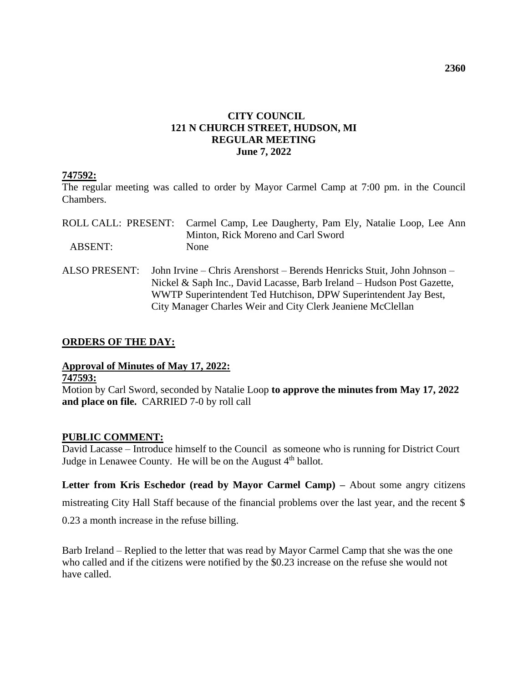## **CITY COUNCIL 121 N CHURCH STREET, HUDSON, MI REGULAR MEETING June 7, 2022**

## **747592:**

The regular meeting was called to order by Mayor Carmel Camp at 7:00 pm. in the Council Chambers.

|                | ROLL CALL: PRESENT: Carmel Camp, Lee Daugherty, Pam Ely, Natalie Loop, Lee Ann<br>Minton, Rick Moreno and Carl Sword                                                                                                 |
|----------------|----------------------------------------------------------------------------------------------------------------------------------------------------------------------------------------------------------------------|
| <b>ABSENT:</b> | None                                                                                                                                                                                                                 |
| ALSO PRESENT:  | John Irvine – Chris Arenshorst – Berends Henricks Stuit, John Johnson –<br>Nickel & Saph Inc., David Lacasse, Barb Ireland - Hudson Post Gazette,<br>WWTP Superintendent Ted Hutchison, DPW Superintendent Jay Best, |

City Manager Charles Weir and City Clerk Jeaniene McClellan

## **ORDERS OF THE DAY:**

# **Approval of Minutes of May 17, 2022: 747593:**

Motion by Carl Sword, seconded by Natalie Loop **to approve the minutes from May 17, 2022 and place on file.** CARRIED 7-0 by roll call

## **PUBLIC COMMENT:**

David Lacasse – Introduce himself to the Council as someone who is running for District Court Judge in Lenawee County. He will be on the August 4<sup>th</sup> ballot.

Letter from Kris Eschedor (read by Mayor Carmel Camp) – About some angry citizens

mistreating City Hall Staff because of the financial problems over the last year, and the recent \$

0.23 a month increase in the refuse billing.

Barb Ireland – Replied to the letter that was read by Mayor Carmel Camp that she was the one who called and if the citizens were notified by the \$0.23 increase on the refuse she would not have called.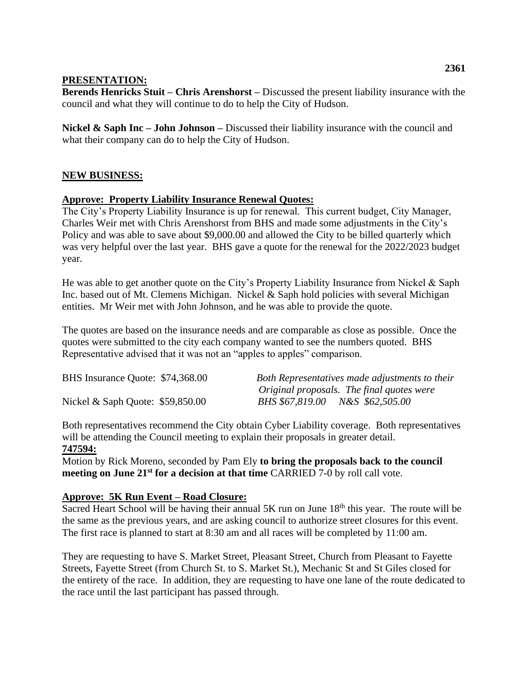## **PRESENTATION:**

**Berends Henricks Stuit – Chris Arenshorst –** Discussed the present liability insurance with the council and what they will continue to do to help the City of Hudson.

**Nickel & Saph Inc – John Johnson –** Discussed their liability insurance with the council and what their company can do to help the City of Hudson.

## **NEW BUSINESS:**

## **Approve: Property Liability Insurance Renewal Quotes:**

The City's Property Liability Insurance is up for renewal. This current budget, City Manager, Charles Weir met with Chris Arenshorst from BHS and made some adjustments in the City's Policy and was able to save about \$9,000.00 and allowed the City to be billed quarterly which was very helpful over the last year. BHS gave a quote for the renewal for the 2022/2023 budget year.

He was able to get another quote on the City's Property Liability Insurance from Nickel & Saph Inc. based out of Mt. Clemens Michigan. Nickel & Saph hold policies with several Michigan entities. Mr Weir met with John Johnson, and he was able to provide the quote.

The quotes are based on the insurance needs and are comparable as close as possible. Once the quotes were submitted to the city each company wanted to see the numbers quoted. BHS Representative advised that it was not an "apples to apples" comparison.

| BHS Insurance Quote: \$74,368.00  | Both Representatives made adjustments to their |
|-----------------------------------|------------------------------------------------|
|                                   | Original proposals. The final quotes were      |
| Nickel & Saph Quote: $$59,850.00$ | BHS \$67,819.00 N&S \$62,505.00                |

Both representatives recommend the City obtain Cyber Liability coverage. Both representatives will be attending the Council meeting to explain their proposals in greater detail.

## **747594:**

Motion by Rick Moreno, seconded by Pam Ely **to bring the proposals back to the council meeting on June 21st for a decision at that time** CARRIED 7-0 by roll call vote.

## **Approve: 5K Run Event – Road Closure:**

Sacred Heart School will be having their annual  $5K$  run on June  $18<sup>th</sup>$  this year. The route will be the same as the previous years, and are asking council to authorize street closures for this event. The first race is planned to start at 8:30 am and all races will be completed by 11:00 am.

They are requesting to have S. Market Street, Pleasant Street, Church from Pleasant to Fayette Streets, Fayette Street (from Church St. to S. Market St.), Mechanic St and St Giles closed for the entirety of the race. In addition, they are requesting to have one lane of the route dedicated to the race until the last participant has passed through.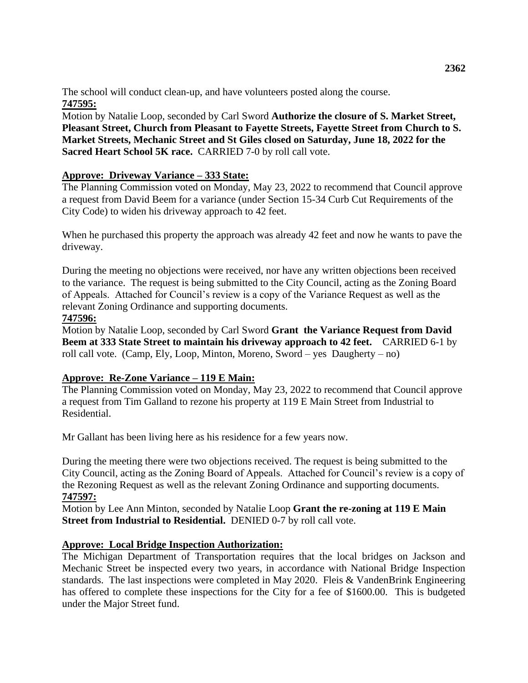The school will conduct clean-up, and have volunteers posted along the course. **747595:**

Motion by Natalie Loop, seconded by Carl Sword **Authorize the closure of S. Market Street, Pleasant Street, Church from Pleasant to Fayette Streets, Fayette Street from Church to S. Market Streets, Mechanic Street and St Giles closed on Saturday, June 18, 2022 for the Sacred Heart School 5K race.** CARRIED 7-0 by roll call vote.

## **Approve: Driveway Variance – 333 State:**

The Planning Commission voted on Monday, May 23, 2022 to recommend that Council approve a request from David Beem for a variance (under Section 15-34 Curb Cut Requirements of the City Code) to widen his driveway approach to 42 feet.

When he purchased this property the approach was already 42 feet and now he wants to pave the driveway.

During the meeting no objections were received, nor have any written objections been received to the variance. The request is being submitted to the City Council, acting as the Zoning Board of Appeals. Attached for Council's review is a copy of the Variance Request as well as the relevant Zoning Ordinance and supporting documents.

## **747596:**

Motion by Natalie Loop, seconded by Carl Sword **Grant the Variance Request from David Beem at 333 State Street to maintain his driveway approach to 42 feet.** CARRIED 6-1 by roll call vote. (Camp, Ely, Loop, Minton, Moreno, Sword – yes Daugherty – no)

## **Approve: Re-Zone Variance – 119 E Main:**

The Planning Commission voted on Monday, May 23, 2022 to recommend that Council approve a request from Tim Galland to rezone his property at 119 E Main Street from Industrial to Residential.

Mr Gallant has been living here as his residence for a few years now.

During the meeting there were two objections received. The request is being submitted to the City Council, acting as the Zoning Board of Appeals. Attached for Council's review is a copy of the Rezoning Request as well as the relevant Zoning Ordinance and supporting documents. **747597:**

Motion by Lee Ann Minton, seconded by Natalie Loop **Grant the re-zoning at 119 E Main Street from Industrial to Residential.** DENIED 0-7 by roll call vote.

## **Approve: Local Bridge Inspection Authorization:**

The Michigan Department of Transportation requires that the local bridges on Jackson and Mechanic Street be inspected every two years, in accordance with National Bridge Inspection standards. The last inspections were completed in May 2020. Fleis & VandenBrink Engineering has offered to complete these inspections for the City for a fee of \$1600.00. This is budgeted under the Major Street fund.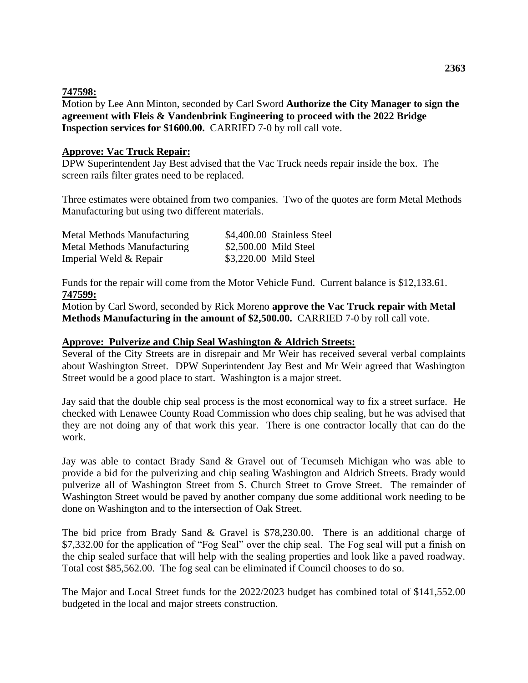#### **747598:**

Motion by Lee Ann Minton, seconded by Carl Sword **Authorize the City Manager to sign the agreement with Fleis & Vandenbrink Engineering to proceed with the 2022 Bridge Inspection services for \$1600.00.** CARRIED 7-0 by roll call vote.

#### **Approve: Vac Truck Repair:**

DPW Superintendent Jay Best advised that the Vac Truck needs repair inside the box. The screen rails filter grates need to be replaced.

Three estimates were obtained from two companies. Two of the quotes are form Metal Methods Manufacturing but using two different materials.

| Metal Methods Manufacturing | \$4,400.00 Stainless Steel |
|-----------------------------|----------------------------|
| Metal Methods Manufacturing | \$2,500.00 Mild Steel      |
| Imperial Weld & Repair      | \$3,220.00 Mild Steel      |

Funds for the repair will come from the Motor Vehicle Fund. Current balance is \$12,133.61. **747599:**

Motion by Carl Sword, seconded by Rick Moreno **approve the Vac Truck repair with Metal Methods Manufacturing in the amount of \$2,500.00.** CARRIED 7-0 by roll call vote.

#### **Approve: Pulverize and Chip Seal Washington & Aldrich Streets:**

Several of the City Streets are in disrepair and Mr Weir has received several verbal complaints about Washington Street. DPW Superintendent Jay Best and Mr Weir agreed that Washington Street would be a good place to start. Washington is a major street.

Jay said that the double chip seal process is the most economical way to fix a street surface. He checked with Lenawee County Road Commission who does chip sealing, but he was advised that they are not doing any of that work this year. There is one contractor locally that can do the work.

Jay was able to contact Brady Sand & Gravel out of Tecumseh Michigan who was able to provide a bid for the pulverizing and chip sealing Washington and Aldrich Streets. Brady would pulverize all of Washington Street from S. Church Street to Grove Street. The remainder of Washington Street would be paved by another company due some additional work needing to be done on Washington and to the intersection of Oak Street.

The bid price from Brady Sand & Gravel is \$78,230.00. There is an additional charge of \$7,332.00 for the application of "Fog Seal" over the chip seal. The Fog seal will put a finish on the chip sealed surface that will help with the sealing properties and look like a paved roadway. Total cost \$85,562.00. The fog seal can be eliminated if Council chooses to do so.

The Major and Local Street funds for the 2022/2023 budget has combined total of \$141,552.00 budgeted in the local and major streets construction.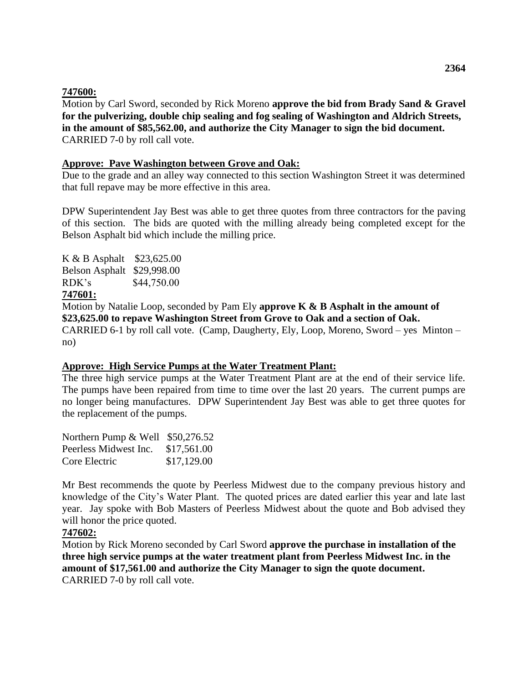## **747600:**

Motion by Carl Sword, seconded by Rick Moreno **approve the bid from Brady Sand & Gravel for the pulverizing, double chip sealing and fog sealing of Washington and Aldrich Streets, in the amount of \$85,562.00, and authorize the City Manager to sign the bid document.**  CARRIED 7-0 by roll call vote.

#### **Approve: Pave Washington between Grove and Oak:**

Due to the grade and an alley way connected to this section Washington Street it was determined that full repave may be more effective in this area.

DPW Superintendent Jay Best was able to get three quotes from three contractors for the paving of this section. The bids are quoted with the milling already being completed except for the Belson Asphalt bid which include the milling price.

K & B Asphalt \$23,625.00 Belson Asphalt \$29,998.00 RDK's \$44,750.00

# **747601:**

Motion by Natalie Loop, seconded by Pam Ely **approve K & B Asphalt in the amount of \$23,625.00 to repave Washington Street from Grove to Oak and a section of Oak.**  CARRIED 6-1 by roll call vote. (Camp, Daugherty, Ely, Loop, Moreno, Sword – yes Minton – no)

#### **Approve: High Service Pumps at the Water Treatment Plant:**

The three high service pumps at the Water Treatment Plant are at the end of their service life. The pumps have been repaired from time to time over the last 20 years. The current pumps are no longer being manufactures. DPW Superintendent Jay Best was able to get three quotes for the replacement of the pumps.

| Northern Pump $&$ Well $$50,276.52$ |             |
|-------------------------------------|-------------|
| Peerless Midwest Inc.               | \$17,561.00 |
| Core Electric                       | \$17,129.00 |

Mr Best recommends the quote by Peerless Midwest due to the company previous history and knowledge of the City's Water Plant. The quoted prices are dated earlier this year and late last year. Jay spoke with Bob Masters of Peerless Midwest about the quote and Bob advised they will honor the price quoted.

## **747602:**

Motion by Rick Moreno seconded by Carl Sword **approve the purchase in installation of the three high service pumps at the water treatment plant from Peerless Midwest Inc. in the amount of \$17,561.00 and authorize the City Manager to sign the quote document.**  CARRIED 7-0 by roll call vote.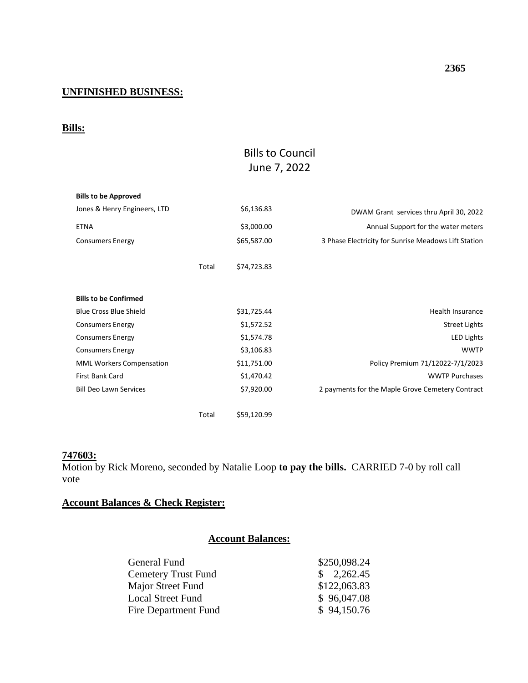# **UNFINISHED BUSINESS:**

## **Bills:**

# Bills to Council June 7, 2022

| <b>Bills to be Approved</b>     |       |             |                                                      |
|---------------------------------|-------|-------------|------------------------------------------------------|
| Jones & Henry Engineers, LTD    |       | \$6,136.83  | DWAM Grant services thru April 30, 2022              |
| <b>ETNA</b>                     |       | \$3,000.00  | Annual Support for the water meters                  |
| <b>Consumers Energy</b>         |       | \$65,587.00 | 3 Phase Electricity for Sunrise Meadows Lift Station |
|                                 | Total | \$74,723.83 |                                                      |
| <b>Bills to be Confirmed</b>    |       |             |                                                      |
| <b>Blue Cross Blue Shield</b>   |       | \$31,725.44 | Health Insurance                                     |
| <b>Consumers Energy</b>         |       | \$1,572.52  | <b>Street Lights</b>                                 |
| <b>Consumers Energy</b>         |       | \$1,574.78  | <b>LED Lights</b>                                    |
| <b>Consumers Energy</b>         |       | \$3,106.83  | <b>WWTP</b>                                          |
| <b>MML Workers Compensation</b> |       | \$11,751.00 | Policy Premium 71/12022-7/1/2023                     |
| First Bank Card                 |       | \$1,470.42  | <b>WWTP Purchases</b>                                |
| <b>Bill Deo Lawn Services</b>   |       | \$7,920.00  | 2 payments for the Maple Grove Cemetery Contract     |
|                                 | Total | \$59,120.99 |                                                      |

# **747603:**

Motion by Rick Moreno, seconded by Natalie Loop **to pay the bills.** CARRIED 7-0 by roll call vote

# **Account Balances & Check Register:**

## **Account Balances:**

| General Fund               | \$250,098.24         |
|----------------------------|----------------------|
| <b>Cemetery Trust Fund</b> | $\frac{$}{2,262.45}$ |
| Major Street Fund          | \$122,063.83         |
| Local Street Fund          | \$96,047.08          |
| Fire Department Fund       | \$94,150.76          |
|                            |                      |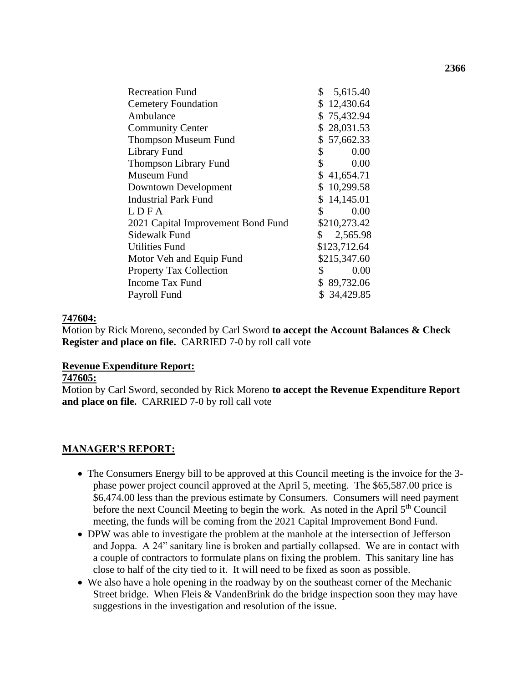| <b>Recreation Fund</b>             | \$<br>5,615.40       |
|------------------------------------|----------------------|
| <b>Cemetery Foundation</b>         | \$12,430.64          |
| Ambulance                          | \$75,432.94          |
| <b>Community Center</b>            | \$28,031.53          |
| <b>Thompson Museum Fund</b>        | \$57,662.33          |
| Library Fund                       | $\mathbb{S}$<br>0.00 |
| <b>Thompson Library Fund</b>       | \$<br>0.00           |
| Museum Fund                        | \$41,654.71          |
| Downtown Development               | \$10,299.58          |
| <b>Industrial Park Fund</b>        | \$14,145.01          |
| LDFA                               | \$<br>0.00           |
| 2021 Capital Improvement Bond Fund | \$210,273.42         |
| Sidewalk Fund                      | \$<br>2,565.98       |
| <b>Utilities Fund</b>              | \$123,712.64         |
| Motor Veh and Equip Fund           | \$215,347.60         |
| <b>Property Tax Collection</b>     | 0.00<br>\$           |
| Income Tax Fund                    | \$89,732.06          |
| Payroll Fund                       | \$34,429.85          |
|                                    |                      |

## **747604:**

Motion by Rick Moreno, seconded by Carl Sword **to accept the Account Balances & Check Register and place on file.** CARRIED 7-0 by roll call vote

## **Revenue Expenditure Report:**

# **747605:**

Motion by Carl Sword, seconded by Rick Moreno **to accept the Revenue Expenditure Report and place on file.** CARRIED 7-0 by roll call vote

## **MANAGER'S REPORT:**

- The Consumers Energy bill to be approved at this Council meeting is the invoice for the 3 phase power project council approved at the April 5, meeting. The \$65,587.00 price is \$6,474.00 less than the previous estimate by Consumers. Consumers will need payment before the next Council Meeting to begin the work. As noted in the April 5<sup>th</sup> Council meeting, the funds will be coming from the 2021 Capital Improvement Bond Fund.
- DPW was able to investigate the problem at the manhole at the intersection of Jefferson and Joppa. A 24" sanitary line is broken and partially collapsed. We are in contact with a couple of contractors to formulate plans on fixing the problem. This sanitary line has close to half of the city tied to it. It will need to be fixed as soon as possible.
- We also have a hole opening in the roadway by on the southeast corner of the Mechanic Street bridge. When Fleis & VandenBrink do the bridge inspection soon they may have suggestions in the investigation and resolution of the issue.